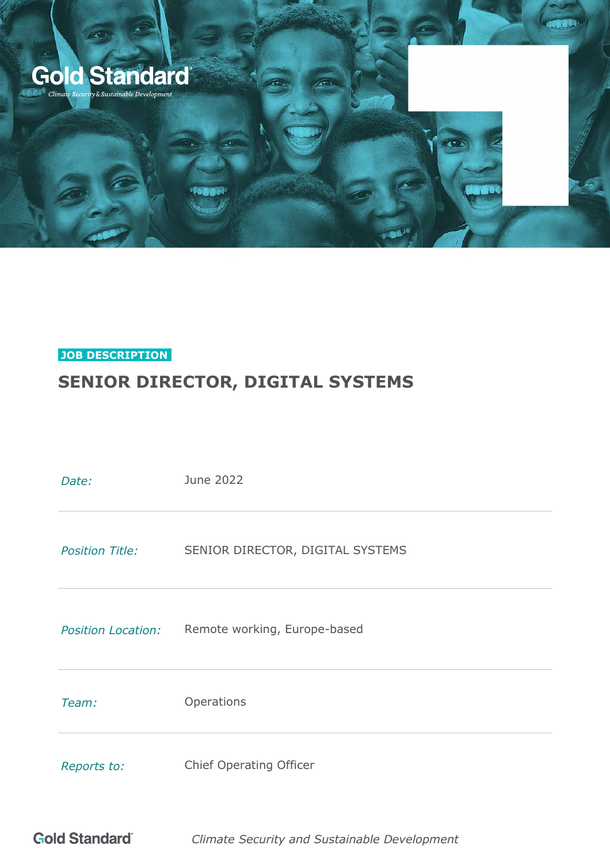

## **JOB DESCRIPTION.**

# **SENIOR DIRECTOR, DIGITAL SYSTEMS**

| Date:                     | June 2022                        |
|---------------------------|----------------------------------|
| <b>Position Title:</b>    | SENIOR DIRECTOR, DIGITAL SYSTEMS |
| <b>Position Location:</b> | Remote working, Europe-based     |
| Team:                     | Operations                       |
| Reports to:               | <b>Chief Operating Officer</b>   |

**Gold Standard** *Climate Security and Sustainable Development*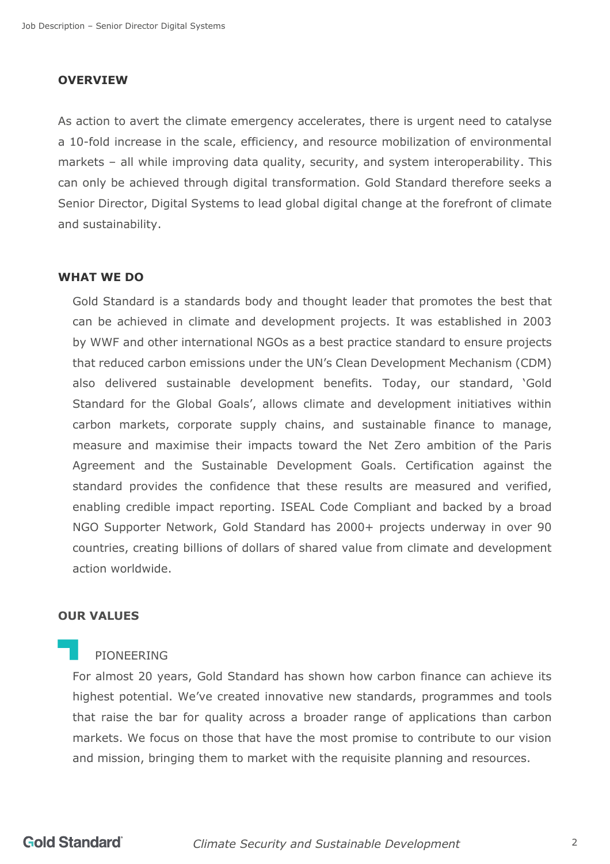### **OVERVIEW**

As action to avert the climate emergency accelerates, there is urgent need to catalyse a 10-fold increase in the scale, efficiency, and resource mobilization of environmental markets – all while improving data quality, security, and system interoperability. This can only be achieved through digital transformation. Gold Standard therefore seeks a Senior Director, Digital Systems to lead global digital change at the forefront of climate and sustainability.

### **WHAT WE DO**

Gold Standard is a standards body and thought leader that promotes the best that can be achieved in climate and development projects. It was established in 2003 by [WWF](http://wwf.panda.org/) and other international NGOs as a best practice standard to ensure projects that reduced carbon emissions under the UN's Clean Development Mechanism (CDM) also delivered sustainable development benefits. Today, our standard, 'Gold Standard for the Global Goals', allows climate and development initiatives within carbon markets, corporate supply chains, and sustainable finance to manage, measure and maximise their impacts toward the Net Zero ambition of the Paris Agreement and the Sustainable Development Goals. Certification against the standard provides the confidence that these results are measured and verified, enabling credible impact reporting. ISEAL Code Compliant and backed by a broad NGO Supporter Network, Gold Standard has 2000+ projects underway in over 90 countries, creating billions of dollars of shared value from climate and development action worldwide.

#### **OUR VALUES**

#### PIONEERING

For almost 20 years, Gold Standard has shown how carbon finance can achieve its highest potential. We've created innovative new standards, programmes and tools that raise the bar for quality across a broader range of applications than carbon markets. We focus on those that have the most promise to contribute to our vision and mission, bringing them to market with the requisite planning and resources.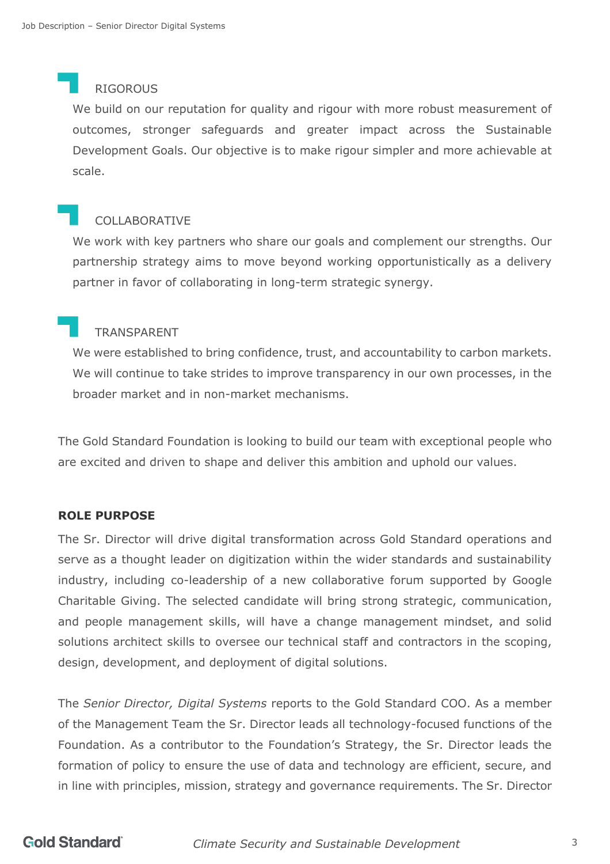### RIGOROUS

We build on our reputation for quality and rigour with more robust measurement of outcomes, stronger safeguards and greater impact across the Sustainable Development Goals. Our objective is to make rigour simpler and more achievable at scale.

# COLLABORATIVE

We work with key partners who share our goals and complement our strengths. Our partnership strategy aims to move beyond working opportunistically as a delivery partner in favor of collaborating in long-term strategic synergy.

# TRANSPARENT

We were established to bring confidence, trust, and accountability to carbon markets. We will continue to take strides to improve transparency in our own processes, in the broader market and in non-market mechanisms.

The Gold Standard Foundation is looking to build our team with exceptional people who are excited and driven to shape and deliver this ambition and uphold our values.

### **ROLE PURPOSE**

The Sr. Director will drive digital transformation across Gold Standard operations and serve as a thought leader on digitization within the wider standards and sustainability industry, including co-leadership of a new collaborative forum supported by Google Charitable Giving. The selected candidate will bring strong strategic, communication, and people management skills, will have a change management mindset, and solid solutions architect skills to oversee our technical staff and contractors in the scoping, design, development, and deployment of digital solutions.

The *Senior Director, Digital Systems* reports to the Gold Standard COO. As a member of the Management Team the Sr. Director leads all technology-focused functions of the Foundation. As a contributor to the Foundation's Strategy, the Sr. Director leads the formation of policy to ensure the use of data and technology are efficient, secure, and in line with principles, mission, strategy and governance requirements. The Sr. Director

# **Gold Standard**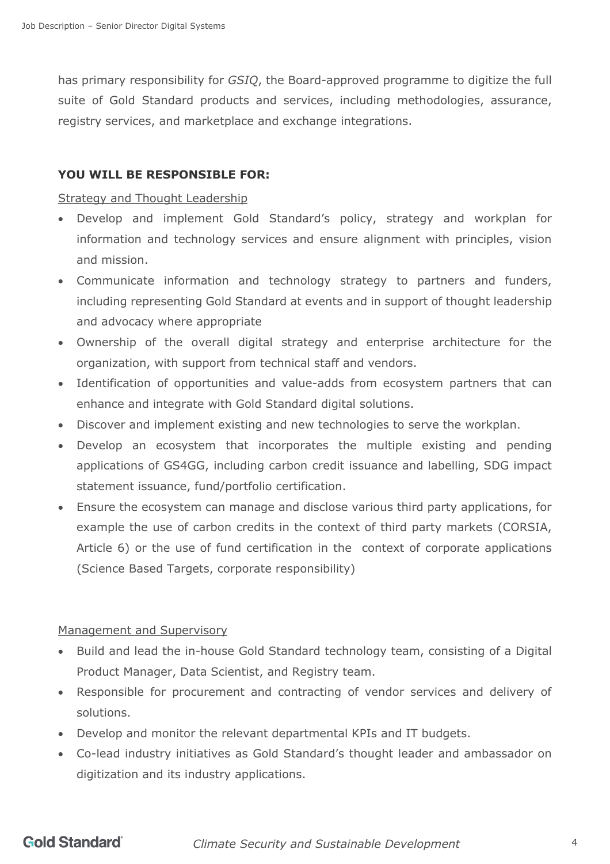has primary responsibility for *GSIQ*, the Board-approved programme to digitize the full suite of Gold Standard products and services, including methodologies, assurance, registry services, and marketplace and exchange integrations.

### **YOU WILL BE RESPONSIBLE FOR:**

### Strategy and Thought Leadership

- Develop and implement Gold Standard's policy, strategy and workplan for information and technology services and ensure alignment with principles, vision and mission.
- Communicate information and technology strategy to partners and funders, including representing Gold Standard at events and in support of thought leadership and advocacy where appropriate
- Ownership of the overall digital strategy and enterprise architecture for the organization, with support from technical staff and vendors.
- Identification of opportunities and value-adds from ecosystem partners that can enhance and integrate with Gold Standard digital solutions.
- Discover and implement existing and new technologies to serve the workplan.
- Develop an ecosystem that incorporates the multiple existing and pending applications of GS4GG, including carbon credit issuance and labelling, SDG impact statement issuance, fund/portfolio certification.
- Ensure the ecosystem can manage and disclose various third party applications, for example the use of carbon credits in the context of third party markets (CORSIA, Article 6) or the use of fund certification in the context of corporate applications (Science Based Targets, corporate responsibility)

### Management and Supervisory

- Build and lead the in-house Gold Standard technology team, consisting of a Digital Product Manager, Data Scientist, and Registry team.
- Responsible for procurement and contracting of vendor services and delivery of solutions.
- Develop and monitor the relevant departmental KPIs and IT budgets.
- Co-lead industry initiatives as Gold Standard's thought leader and ambassador on digitization and its industry applications.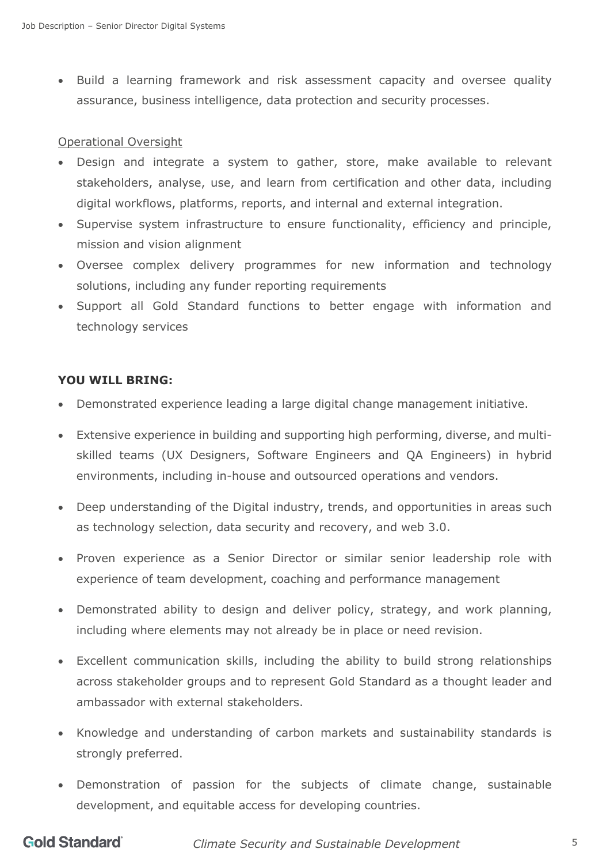• Build a learning framework and risk assessment capacity and oversee quality assurance, business intelligence, data protection and security processes.

### Operational Oversight

- Design and integrate a system to gather, store, make available to relevant stakeholders, analyse, use, and learn from certification and other data, including digital workflows, platforms, reports, and internal and external integration.
- Supervise system infrastructure to ensure functionality, efficiency and principle, mission and vision alignment
- Oversee complex delivery programmes for new information and technology solutions, including any funder reporting requirements
- Support all Gold Standard functions to better engage with information and technology services

### **YOU WILL BRING:**

- Demonstrated experience leading a large digital change management initiative.
- Extensive experience in building and supporting high performing, diverse, and multiskilled teams (UX Designers, Software Engineers and QA Engineers) in hybrid environments, including in-house and outsourced operations and vendors.
- Deep understanding of the Digital industry, trends, and opportunities in areas such as technology selection, data security and recovery, and web 3.0.
- Proven experience as a Senior Director or similar senior leadership role with experience of team development, coaching and performance management
- Demonstrated ability to design and deliver policy, strategy, and work planning, including where elements may not already be in place or need revision.
- Excellent communication skills, including the ability to build strong relationships across stakeholder groups and to represent Gold Standard as a thought leader and ambassador with external stakeholders.
- Knowledge and understanding of carbon markets and sustainability standards is strongly preferred.
- Demonstration of passion for the subjects of climate change, sustainable development, and equitable access for developing countries.

# **Gold Standard**

*Climate Security and Sustainable Development* 5